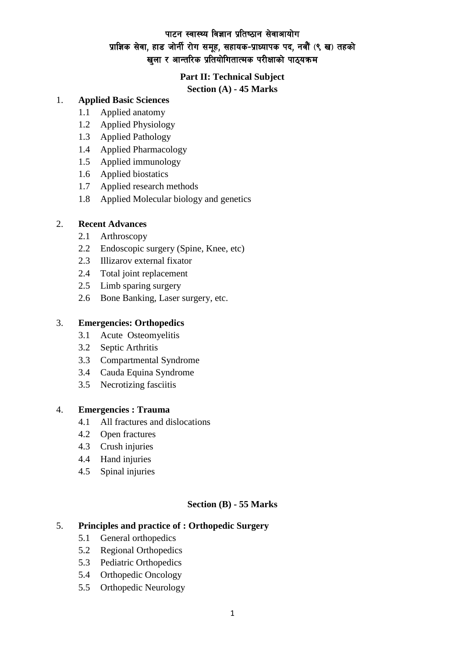## पाटन स्वास्थ्य विज्ञान प्रतिष्ठान सेवाआयोग प्राज्ञिक सेवा, हाड जोर्नी रोग समूह, सहायक-प्राध्यापक पद, नवौं (९ ख) तहको खुला र आन्तरिक प्रतियोगितात्मक परीक्षाको पाठ्**यक्रम**

### **Part II: Technical Subject**

**Section (A) - 45 Marks**

## 1. **Applied Basic Sciences**

- 1.1 Applied anatomy
- 1.2 Applied Physiology
- 1.3 Applied Pathology
- 1.4 Applied Pharmacology
- 1.5 Applied immunology
- 1.6 Applied biostatics
- 1.7 Applied research methods
- 1.8 Applied Molecular biology and genetics

#### 2. **Recent Advances**

- 2.1 Arthroscopy
- 2.2 Endoscopic surgery (Spine, Knee, etc)
- 2.3 Illizarov external fixator
- 2.4 Total joint replacement
- 2.5 Limb sparing surgery
- 2.6 Bone Banking, Laser surgery, etc.

#### 3. **Emergencies: Orthopedics**

- 3.1 Acute Osteomyelitis
- 3.2 Septic Arthritis
- 3.3 Compartmental Syndrome
- 3.4 Cauda Equina Syndrome
- 3.5 Necrotizing fasciitis

#### 4. **Emergencies : Trauma**

- 4.1 All fractures and dislocations
- 4.2 Open fractures
- 4.3 Crush injuries
- 4.4 Hand injuries
- 4.5 Spinal injuries

#### **Section (B) - 55 Marks**

#### 5. **Principles and practice of : Orthopedic Surgery**

- 5.1 General orthopedics
- 5.2 Regional Orthopedics
- 5.3 Pediatric Orthopedics
- 5.4 Orthopedic Oncology
- 5.5 Orthopedic Neurology